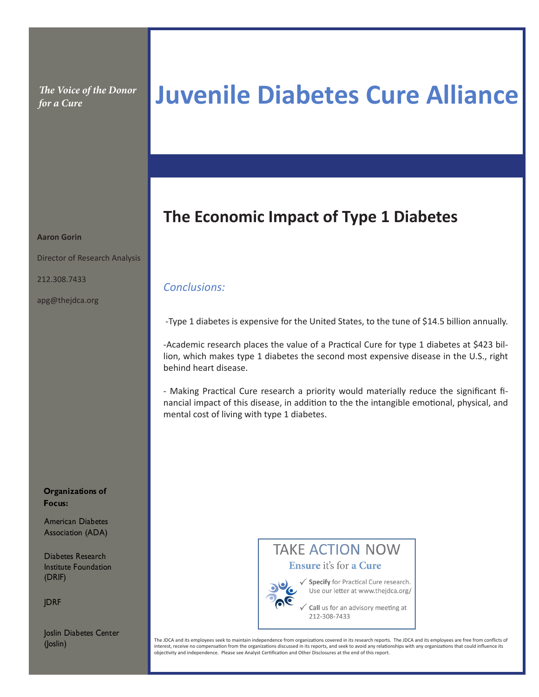*The Voice of the Donor* 

# *for a Cure* **Juvenile Diabetes Cure Alliance**

### **The Economic Impact of Type 1 Diabetes**

## *Conclusions:*

-Type 1 diabetes is expensive for the United States, to the tune of \$14.5 billion annually.

-Academic research places the value of a Practical Cure for type 1 diabetes at \$423 billion, which makes type 1 diabetes the second most expensive disease in the U.S., right behind heart disease.

- Making Practical Cure research a priority would materially reduce the significant financial impact of this disease, in addition to the the intangible emotional, physical, and mental cost of living with type 1 diabetes.



American Diabetes Association (ADA)

Diabetes Research Institute Foundation (DRIF)

**JDRF** 

Joslin Diabetes Center (Joslin)



√ Specify for Practical Cure research. Use our letter at www.thejdca.org/

 $\zeta$  Call us for an advisory meeting at 212-308-7433

The JDCA and its employees seek to maintain independence from organizations covered in its research reports. The JDCA and its employees are free from conflicts of interest, receive no compensation from the organizations discussed in its reports, and seek to avoid any relationships with any organizations that could influence its objectivity and independence. Please see Analyst Certification and Other Disclosures at the end of this report.

#### **Aaron Gorin**

Director of Research Analysis

212.308.7433

apg@thejdca.org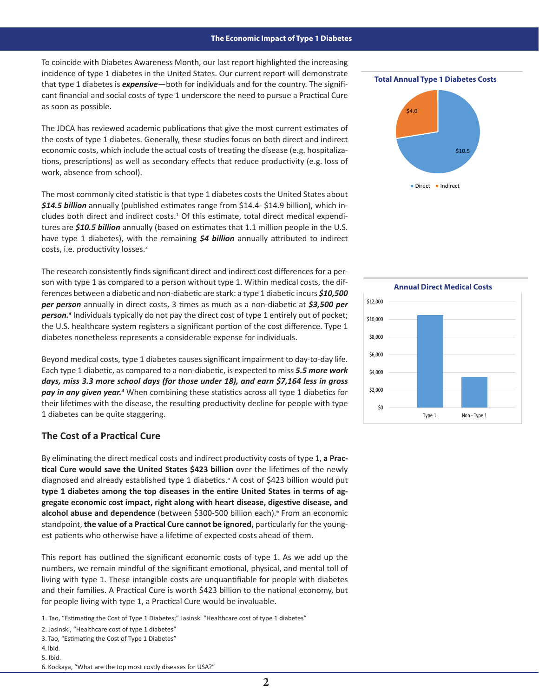To coincide with Diabetes Awareness Month, our last report highlighted the increasing incidence of type 1 diabetes in the United States. Our current report will demonstrate that type 1 diabetes is *expensive*—both for individuals and for the country. The significant financial and social costs of type 1 underscore the need to pursue a Practical Cure as soon as possible.

The JDCA has reviewed academic publications that give the most current estimates of the costs of type 1 diabetes. Generally, these studies focus on both direct and indirect economic costs, which include the actual costs of treating the disease (e.g. hospitalizations, prescriptions) as well as secondary effects that reduce productivity (e.g. loss of work, absence from school).

The most commonly cited statistic is that type 1 diabetes costs the United States about *\$14.5 billion* annually (published estimates range from \$14.4- \$14.9 billion), which includes both direct and indirect costs.<sup>1</sup> Of this estimate, total direct medical expenditures are *\$10.5 billion* annually (based on estimates that 1.1 million people in the U.S. have type 1 diabetes), with the remaining *\$4 billion* annually attributed to indirect costs, i.e. productivity losses.<sup>2</sup>

The research consistently finds significant direct and indirect cost differences for a person with type 1 as compared to a person without type 1. Within medical costs, the differences between a diabetic and non-diabetic are stark: a type 1 diabetic incurs *\$10,500*  per person annually in direct costs, 3 times as much as a non-diabetic at \$3,500 per *person.3* Individuals typically do not pay the direct cost of type 1 entirely out of pocket; \$10,000 \$10,000 the U.S. healthcare system registers a significant portion of the cost difference. Type 1 diabetes nonetheless represents a considerable expense for individuals.

Beyond medical costs, type 1 diabetes causes significant impairment to day-to-day life. Each type 1 diabetic, as compared to a non-diabetic, is expected to miss **5.5 more work** *days, miss 3.3 more school days (for those under 18), and earn \$7,164 less in gross*  pay in any given year.<sup>4</sup> When combining these statistics across all type 1 diabetics for their lifetimes with the disease, the resulting productivity decline for people with type 1 diabetes can be quite staggering.

### **The Cost of a Practical Cure**

By eliminating the direct medical costs and indirect productivity costs of type 1, **a Practical Cure would save the United States \$423 billion** over the lifetimes of the newly diagnosed and already established type 1 diabetics.<sup>5</sup> A cost of \$423 billion would put **type 1 diabetes among the top diseases in the entire United States in terms of aggregate economic cost impact, right along with heart disease, digestive disease, and**  alcohol abuse and dependence (between \$300-500 billion each).<sup>6</sup> From an economic standpoint, **the value of a Practical Cure cannot be ignored,** particularly for the youngest patients who otherwise have a lifetime of expected costs ahead of them.

This report has outlined the significant economic costs of type 1. As we add up the numbers, we remain mindful of the significant emotional, physical, and mental toll of living with type 1. These intangible costs are unquantifiable for people with diabetes and their families. A Practical Cure is worth \$423 billion to the national economy, but for people living with type 1, a Practical Cure would be invaluable.

1. Tao, "Estimating the Cost of Type 1 Diabetes;" Jasinski "Healthcare cost of type 1 diabetes"

2. Jasinski, "Healthcare cost of type 1 diabetes"

3. Tao, "Estimating the Cost of Type 1 Diabetes"

4. Ibid.

5. Ibid.

6. Kockaya, "What are the top most costly diseases for USA?"